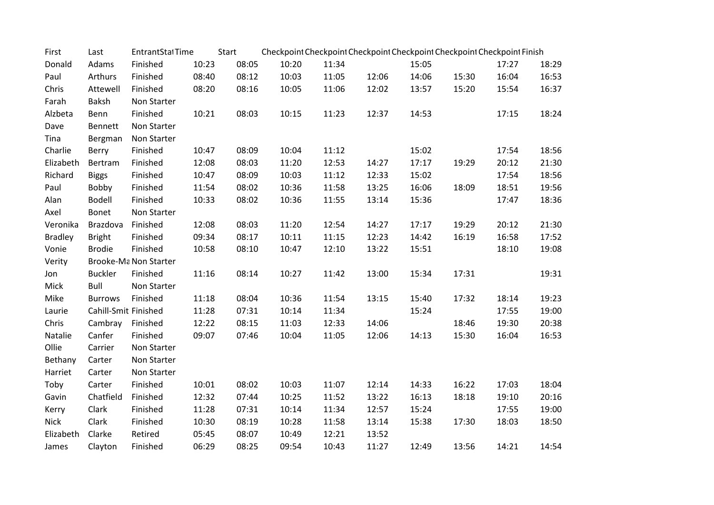| First          | Last                  | EntrantStalTime       |       | Start | Checkpoint Checkpoint Checkpoint Checkpoint Checkpoint Checkpoint Finish |       |       |       |       |       |       |
|----------------|-----------------------|-----------------------|-------|-------|--------------------------------------------------------------------------|-------|-------|-------|-------|-------|-------|
| Donald         | Adams                 | Finished              | 10:23 | 08:05 | 10:20                                                                    | 11:34 |       | 15:05 |       | 17:27 | 18:29 |
| Paul           | Arthurs               | Finished              | 08:40 | 08:12 | 10:03                                                                    | 11:05 | 12:06 | 14:06 | 15:30 | 16:04 | 16:53 |
| Chris          | Attewell              | Finished              | 08:20 | 08:16 | 10:05                                                                    | 11:06 | 12:02 | 13:57 | 15:20 | 15:54 | 16:37 |
| Farah          | Baksh                 | Non Starter           |       |       |                                                                          |       |       |       |       |       |       |
| Alzbeta        | Benn                  | Finished              | 10:21 | 08:03 | 10:15                                                                    | 11:23 | 12:37 | 14:53 |       | 17:15 | 18:24 |
| Dave           | Bennett               | Non Starter           |       |       |                                                                          |       |       |       |       |       |       |
| Tina           | Bergman               | Non Starter           |       |       |                                                                          |       |       |       |       |       |       |
| Charlie        | Berry                 | Finished              | 10:47 | 08:09 | 10:04                                                                    | 11:12 |       | 15:02 |       | 17:54 | 18:56 |
| Elizabeth      | Bertram               | Finished              | 12:08 | 08:03 | 11:20                                                                    | 12:53 | 14:27 | 17:17 | 19:29 | 20:12 | 21:30 |
| Richard        | <b>Biggs</b>          | Finished              | 10:47 | 08:09 | 10:03                                                                    | 11:12 | 12:33 | 15:02 |       | 17:54 | 18:56 |
| Paul           | Bobby                 | Finished              | 11:54 | 08:02 | 10:36                                                                    | 11:58 | 13:25 | 16:06 | 18:09 | 18:51 | 19:56 |
| Alan           | Bodell                | Finished              | 10:33 | 08:02 | 10:36                                                                    | 11:55 | 13:14 | 15:36 |       | 17:47 | 18:36 |
| Axel           | Bonet                 | Non Starter           |       |       |                                                                          |       |       |       |       |       |       |
| Veronika       | Brazdova              | Finished              | 12:08 | 08:03 | 11:20                                                                    | 12:54 | 14:27 | 17:17 | 19:29 | 20:12 | 21:30 |
| <b>Bradley</b> | <b>Bright</b>         | Finished              | 09:34 | 08:17 | 10:11                                                                    | 11:15 | 12:23 | 14:42 | 16:19 | 16:58 | 17:52 |
| Vonie          | <b>Brodie</b>         | Finished              | 10:58 | 08:10 | 10:47                                                                    | 12:10 | 13:22 | 15:51 |       | 18:10 | 19:08 |
| Verity         |                       | Brooke-Ma Non Starter |       |       |                                                                          |       |       |       |       |       |       |
| Jon            | <b>Buckler</b>        | Finished              | 11:16 | 08:14 | 10:27                                                                    | 11:42 | 13:00 | 15:34 | 17:31 |       | 19:31 |
| Mick           | <b>Bull</b>           | Non Starter           |       |       |                                                                          |       |       |       |       |       |       |
| Mike           | <b>Burrows</b>        | Finished              | 11:18 | 08:04 | 10:36                                                                    | 11:54 | 13:15 | 15:40 | 17:32 | 18:14 | 19:23 |
| Laurie         | Cahill-Smitl Finished |                       | 11:28 | 07:31 | 10:14                                                                    | 11:34 |       | 15:24 |       | 17:55 | 19:00 |
| Chris          | Cambray               | Finished              | 12:22 | 08:15 | 11:03                                                                    | 12:33 | 14:06 |       | 18:46 | 19:30 | 20:38 |
| Natalie        | Canfer                | Finished              | 09:07 | 07:46 | 10:04                                                                    | 11:05 | 12:06 | 14:13 | 15:30 | 16:04 | 16:53 |
| Ollie          | Carrier               | Non Starter           |       |       |                                                                          |       |       |       |       |       |       |
| Bethany        | Carter                | Non Starter           |       |       |                                                                          |       |       |       |       |       |       |
| Harriet        | Carter                | Non Starter           |       |       |                                                                          |       |       |       |       |       |       |
| Toby           | Carter                | Finished              | 10:01 | 08:02 | 10:03                                                                    | 11:07 | 12:14 | 14:33 | 16:22 | 17:03 | 18:04 |
| Gavin          | Chatfield             | Finished              | 12:32 | 07:44 | 10:25                                                                    | 11:52 | 13:22 | 16:13 | 18:18 | 19:10 | 20:16 |
| Kerry          | Clark                 | Finished              | 11:28 | 07:31 | 10:14                                                                    | 11:34 | 12:57 | 15:24 |       | 17:55 | 19:00 |
| <b>Nick</b>    | Clark                 | Finished              | 10:30 | 08:19 | 10:28                                                                    | 11:58 | 13:14 | 15:38 | 17:30 | 18:03 | 18:50 |
| Elizabeth      | Clarke                | Retired               | 05:45 | 08:07 | 10:49                                                                    | 12:21 | 13:52 |       |       |       |       |
| James          | Clayton               | Finished              | 06:29 | 08:25 | 09:54                                                                    | 10:43 | 11:27 | 12:49 | 13:56 | 14:21 | 14:54 |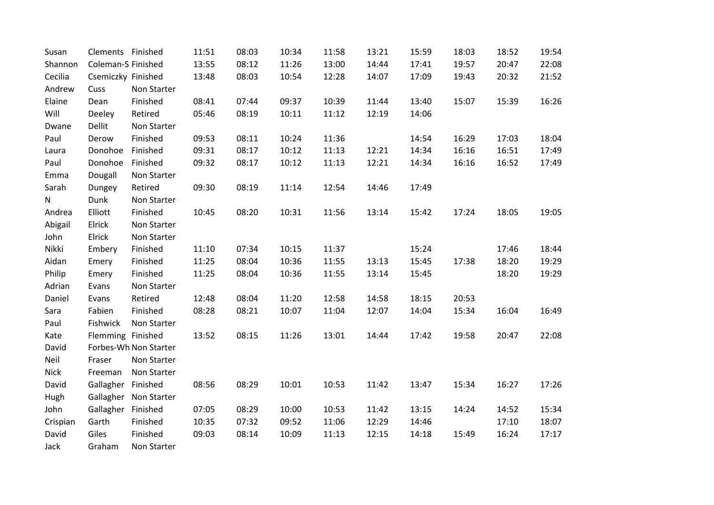| Susan       | Clements Finished  |                       | 11:51 | 08:03 | 10:34 | 11:58 | 13:21 | 15:59 | 18:03 | 18:52 | 19:54 |
|-------------|--------------------|-----------------------|-------|-------|-------|-------|-------|-------|-------|-------|-------|
| Shannon     | Coleman-S Finished |                       | 13:55 | 08:12 | 11:26 | 13:00 | 14:44 | 17:41 | 19:57 | 20:47 | 22:08 |
| Cecilia     | Csemiczky Finished |                       | 13:48 | 08:03 | 10:54 | 12:28 | 14:07 | 17:09 | 19:43 | 20:32 | 21:52 |
| Andrew      | Cuss               | Non Starter           |       |       |       |       |       |       |       |       |       |
| Elaine      | Dean               | Finished              | 08:41 | 07:44 | 09:37 | 10:39 | 11:44 | 13:40 | 15:07 | 15:39 | 16:26 |
| Will        | Deeley             | Retired               | 05:46 | 08:19 | 10:11 | 11:12 | 12:19 | 14:06 |       |       |       |
| Dwane       | <b>Dellit</b>      | Non Starter           |       |       |       |       |       |       |       |       |       |
| Paul        | Derow              | Finished              | 09:53 | 08:11 | 10:24 | 11:36 |       | 14:54 | 16:29 | 17:03 | 18:04 |
| Laura       | Donohoe            | Finished              | 09:31 | 08:17 | 10:12 | 11:13 | 12:21 | 14:34 | 16:16 | 16:51 | 17:49 |
| Paul        | Donohoe            | Finished              | 09:32 | 08:17 | 10:12 | 11:13 | 12:21 | 14:34 | 16:16 | 16:52 | 17:49 |
| Emma        | Dougall            | Non Starter           |       |       |       |       |       |       |       |       |       |
| Sarah       | Dungey             | Retired               | 09:30 | 08:19 | 11:14 | 12:54 | 14:46 | 17:49 |       |       |       |
| N           | Dunk               | Non Starter           |       |       |       |       |       |       |       |       |       |
| Andrea      | Elliott            | Finished              | 10:45 | 08:20 | 10:31 | 11:56 | 13:14 | 15:42 | 17:24 | 18:05 | 19:05 |
| Abigail     | Elrick             | Non Starter           |       |       |       |       |       |       |       |       |       |
| John        | Elrick             | Non Starter           |       |       |       |       |       |       |       |       |       |
| Nikki       | Embery             | Finished              | 11:10 | 07:34 | 10:15 | 11:37 |       | 15:24 |       | 17:46 | 18:44 |
| Aidan       | Emery              | Finished              | 11:25 | 08:04 | 10:36 | 11:55 | 13:13 | 15:45 | 17:38 | 18:20 | 19:29 |
| Philip      | Emery              | Finished              | 11:25 | 08:04 | 10:36 | 11:55 | 13:14 | 15:45 |       | 18:20 | 19:29 |
| Adrian      | Evans              | Non Starter           |       |       |       |       |       |       |       |       |       |
| Daniel      | Evans              | Retired               | 12:48 | 08:04 | 11:20 | 12:58 | 14:58 | 18:15 | 20:53 |       |       |
| Sara        | Fabien             | Finished              | 08:28 | 08:21 | 10:07 | 11:04 | 12:07 | 14:04 | 15:34 | 16:04 | 16:49 |
| Paul        | Fishwick           | Non Starter           |       |       |       |       |       |       |       |       |       |
| Kate        | Flemming Finished  |                       | 13:52 | 08:15 | 11:26 | 13:01 | 14:44 | 17:42 | 19:58 | 20:47 | 22:08 |
| David       |                    | Forbes-Wh Non Starter |       |       |       |       |       |       |       |       |       |
| Neil        | Fraser             | Non Starter           |       |       |       |       |       |       |       |       |       |
| <b>Nick</b> | Freeman            | Non Starter           |       |       |       |       |       |       |       |       |       |
| David       | Gallagher          | Finished              | 08:56 | 08:29 | 10:01 | 10:53 | 11:42 | 13:47 | 15:34 | 16:27 | 17:26 |
| Hugh        | Gallagher          | Non Starter           |       |       |       |       |       |       |       |       |       |
| John        | Gallagher          | Finished              | 07:05 | 08:29 | 10:00 | 10:53 | 11:42 | 13:15 | 14:24 | 14:52 | 15:34 |
| Crispian    | Garth              | Finished              | 10:35 | 07:32 | 09:52 | 11:06 | 12:29 | 14:46 |       | 17:10 | 18:07 |
| David       | Giles              | Finished              | 09:03 | 08:14 | 10:09 | 11:13 | 12:15 | 14:18 | 15:49 | 16:24 | 17:17 |
| Jack        | Graham             | Non Starter           |       |       |       |       |       |       |       |       |       |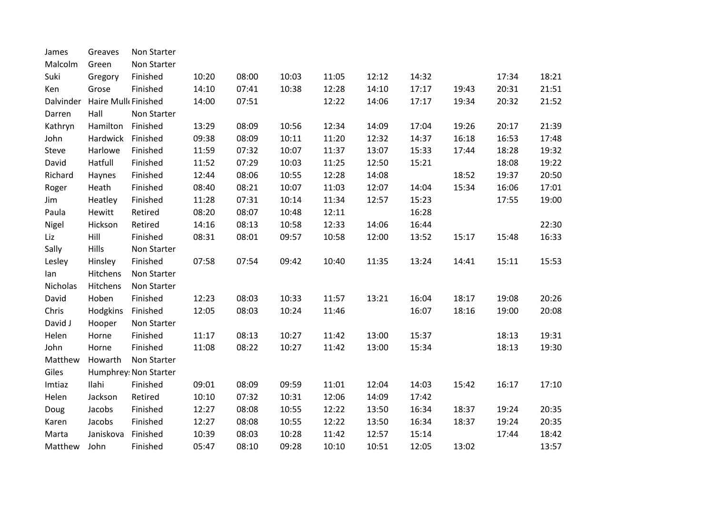| James     | Greaves             | Non Starter           |       |       |       |       |       |       |       |       |       |
|-----------|---------------------|-----------------------|-------|-------|-------|-------|-------|-------|-------|-------|-------|
| Malcolm   | Green               | Non Starter           |       |       |       |       |       |       |       |       |       |
| Suki      | Gregory             | Finished              | 10:20 | 08:00 | 10:03 | 11:05 | 12:12 | 14:32 |       | 17:34 | 18:21 |
| Ken       | Grose               | Finished              | 14:10 | 07:41 | 10:38 | 12:28 | 14:10 | 17:17 | 19:43 | 20:31 | 21:51 |
| Dalvinder | Haire Mulk Finished |                       | 14:00 | 07:51 |       | 12:22 | 14:06 | 17:17 | 19:34 | 20:32 | 21:52 |
| Darren    | Hall                | Non Starter           |       |       |       |       |       |       |       |       |       |
| Kathryn   | Hamilton            | Finished              | 13:29 | 08:09 | 10:56 | 12:34 | 14:09 | 17:04 | 19:26 | 20:17 | 21:39 |
| John      | Hardwick            | Finished              | 09:38 | 08:09 | 10:11 | 11:20 | 12:32 | 14:37 | 16:18 | 16:53 | 17:48 |
| Steve     | Harlowe             | Finished              | 11:59 | 07:32 | 10:07 | 11:37 | 13:07 | 15:33 | 17:44 | 18:28 | 19:32 |
| David     | Hatfull             | Finished              | 11:52 | 07:29 | 10:03 | 11:25 | 12:50 | 15:21 |       | 18:08 | 19:22 |
| Richard   | Haynes              | Finished              | 12:44 | 08:06 | 10:55 | 12:28 | 14:08 |       | 18:52 | 19:37 | 20:50 |
| Roger     | Heath               | Finished              | 08:40 | 08:21 | 10:07 | 11:03 | 12:07 | 14:04 | 15:34 | 16:06 | 17:01 |
| Jim       | Heatley             | Finished              | 11:28 | 07:31 | 10:14 | 11:34 | 12:57 | 15:23 |       | 17:55 | 19:00 |
| Paula     | Hewitt              | Retired               | 08:20 | 08:07 | 10:48 | 12:11 |       | 16:28 |       |       |       |
| Nigel     | Hickson             | Retired               | 14:16 | 08:13 | 10:58 | 12:33 | 14:06 | 16:44 |       |       | 22:30 |
| Liz       | Hill                | Finished              | 08:31 | 08:01 | 09:57 | 10:58 | 12:00 | 13:52 | 15:17 | 15:48 | 16:33 |
| Sally     | Hills               | Non Starter           |       |       |       |       |       |       |       |       |       |
| Lesley    | Hinsley             | Finished              | 07:58 | 07:54 | 09:42 | 10:40 | 11:35 | 13:24 | 14:41 | 15:11 | 15:53 |
| lan       | Hitchens            | Non Starter           |       |       |       |       |       |       |       |       |       |
| Nicholas  | Hitchens            | Non Starter           |       |       |       |       |       |       |       |       |       |
| David     | Hoben               | Finished              | 12:23 | 08:03 | 10:33 | 11:57 | 13:21 | 16:04 | 18:17 | 19:08 | 20:26 |
| Chris     | Hodgkins            | Finished              | 12:05 | 08:03 | 10:24 | 11:46 |       | 16:07 | 18:16 | 19:00 | 20:08 |
| David J   | Hooper              | Non Starter           |       |       |       |       |       |       |       |       |       |
| Helen     | Horne               | Finished              | 11:17 | 08:13 | 10:27 | 11:42 | 13:00 | 15:37 |       | 18:13 | 19:31 |
| John      | Horne               | Finished              | 11:08 | 08:22 | 10:27 | 11:42 | 13:00 | 15:34 |       | 18:13 | 19:30 |
| Matthew   | Howarth             | Non Starter           |       |       |       |       |       |       |       |       |       |
| Giles     |                     | Humphrey: Non Starter |       |       |       |       |       |       |       |       |       |
| Imtiaz    | Ilahi               | Finished              | 09:01 | 08:09 | 09:59 | 11:01 | 12:04 | 14:03 | 15:42 | 16:17 | 17:10 |
| Helen     | Jackson             | Retired               | 10:10 | 07:32 | 10:31 | 12:06 | 14:09 | 17:42 |       |       |       |
| Doug      | Jacobs              | Finished              | 12:27 | 08:08 | 10:55 | 12:22 | 13:50 | 16:34 | 18:37 | 19:24 | 20:35 |
| Karen     | Jacobs              | Finished              | 12:27 | 08:08 | 10:55 | 12:22 | 13:50 | 16:34 | 18:37 | 19:24 | 20:35 |
| Marta     | Janiskova           | Finished              | 10:39 | 08:03 | 10:28 | 11:42 | 12:57 | 15:14 |       | 17:44 | 18:42 |
| Matthew   | John                | Finished              | 05:47 | 08:10 | 09:28 | 10:10 | 10:51 | 12:05 | 13:02 |       | 13:57 |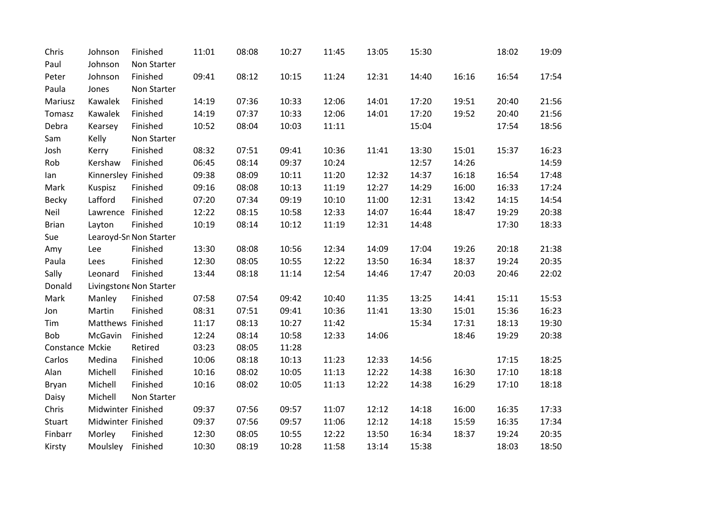| Chris           | Johnson                | Finished                | 11:01 | 08:08 | 10:27 | 11:45 | 13:05 | 15:30 |       | 18:02 | 19:09 |  |  |
|-----------------|------------------------|-------------------------|-------|-------|-------|-------|-------|-------|-------|-------|-------|--|--|
| Paul            | Johnson                | Non Starter             |       |       |       |       |       |       |       |       |       |  |  |
| Peter           | Johnson                | Finished                | 09:41 | 08:12 | 10:15 | 11:24 | 12:31 | 14:40 | 16:16 | 16:54 | 17:54 |  |  |
| Paula           | Jones                  | Non Starter             |       |       |       |       |       |       |       |       |       |  |  |
| Mariusz         | Kawalek                | Finished                | 14:19 | 07:36 | 10:33 | 12:06 | 14:01 | 17:20 | 19:51 | 20:40 | 21:56 |  |  |
| Tomasz          | Kawalek                | Finished                | 14:19 | 07:37 | 10:33 | 12:06 | 14:01 | 17:20 | 19:52 | 20:40 | 21:56 |  |  |
| Debra           | Kearsey                | Finished                | 10:52 | 08:04 | 10:03 | 11:11 |       | 15:04 |       | 17:54 | 18:56 |  |  |
| Sam             | Kelly                  | Non Starter             |       |       |       |       |       |       |       |       |       |  |  |
| Josh            | Kerry                  | Finished                | 08:32 | 07:51 | 09:41 | 10:36 | 11:41 | 13:30 | 15:01 | 15:37 | 16:23 |  |  |
| Rob             | Kershaw                | Finished                | 06:45 | 08:14 | 09:37 | 10:24 |       | 12:57 | 14:26 |       | 14:59 |  |  |
| lan             | Kinnersley Finished    |                         | 09:38 | 08:09 | 10:11 | 11:20 | 12:32 | 14:37 | 16:18 | 16:54 | 17:48 |  |  |
| Mark            | Kuspisz                | Finished                | 09:16 | 08:08 | 10:13 | 11:19 | 12:27 | 14:29 | 16:00 | 16:33 | 17:24 |  |  |
| Becky           | Lafford                | Finished                | 07:20 | 07:34 | 09:19 | 10:10 | 11:00 | 12:31 | 13:42 | 14:15 | 14:54 |  |  |
| Neil            | Lawrence               | Finished                | 12:22 | 08:15 | 10:58 | 12:33 | 14:07 | 16:44 | 18:47 | 19:29 | 20:38 |  |  |
| <b>Brian</b>    | Layton                 | Finished                | 10:19 | 08:14 | 10:12 | 11:19 | 12:31 | 14:48 |       | 17:30 | 18:33 |  |  |
| Sue             | Learoyd-Sn Non Starter |                         |       |       |       |       |       |       |       |       |       |  |  |
| Amy             | Lee                    | Finished                | 13:30 | 08:08 | 10:56 | 12:34 | 14:09 | 17:04 | 19:26 | 20:18 | 21:38 |  |  |
| Paula           | Lees                   | Finished                | 12:30 | 08:05 | 10:55 | 12:22 | 13:50 | 16:34 | 18:37 | 19:24 | 20:35 |  |  |
| Sally           | Leonard                | Finished                | 13:44 | 08:18 | 11:14 | 12:54 | 14:46 | 17:47 | 20:03 | 20:46 | 22:02 |  |  |
| Donald          |                        | Livingstone Non Starter |       |       |       |       |       |       |       |       |       |  |  |
| Mark            | Manley                 | Finished                | 07:58 | 07:54 | 09:42 | 10:40 | 11:35 | 13:25 | 14:41 | 15:11 | 15:53 |  |  |
| Jon             | Martin                 | Finished                | 08:31 | 07:51 | 09:41 | 10:36 | 11:41 | 13:30 | 15:01 | 15:36 | 16:23 |  |  |
| Tim             | Matthews Finished      |                         | 11:17 | 08:13 | 10:27 | 11:42 |       | 15:34 | 17:31 | 18:13 | 19:30 |  |  |
| Bob             | McGavin                | Finished                | 12:24 | 08:14 | 10:58 | 12:33 | 14:06 |       | 18:46 | 19:29 | 20:38 |  |  |
| Constance Mckie |                        | Retired                 | 03:23 | 08:05 | 11:28 |       |       |       |       |       |       |  |  |
| Carlos          | Medina                 | Finished                | 10:06 | 08:18 | 10:13 | 11:23 | 12:33 | 14:56 |       | 17:15 | 18:25 |  |  |
| Alan            | Michell                | Finished                | 10:16 | 08:02 | 10:05 | 11:13 | 12:22 | 14:38 | 16:30 | 17:10 | 18:18 |  |  |
| Bryan           | Michell                | Finished                | 10:16 | 08:02 | 10:05 | 11:13 | 12:22 | 14:38 | 16:29 | 17:10 | 18:18 |  |  |
| Daisy           | Michell                | Non Starter             |       |       |       |       |       |       |       |       |       |  |  |
| Chris           | Midwinter Finished     |                         | 09:37 | 07:56 | 09:57 | 11:07 | 12:12 | 14:18 | 16:00 | 16:35 | 17:33 |  |  |
| Stuart          | Midwinter Finished     |                         | 09:37 | 07:56 | 09:57 | 11:06 | 12:12 | 14:18 | 15:59 | 16:35 | 17:34 |  |  |
| Finbarr         | Morley                 | Finished                | 12:30 | 08:05 | 10:55 | 12:22 | 13:50 | 16:34 | 18:37 | 19:24 | 20:35 |  |  |
| Kirsty          | Moulsley Finished      |                         | 10:30 | 08:19 | 10:28 | 11:58 | 13:14 | 15:38 |       | 18:03 | 18:50 |  |  |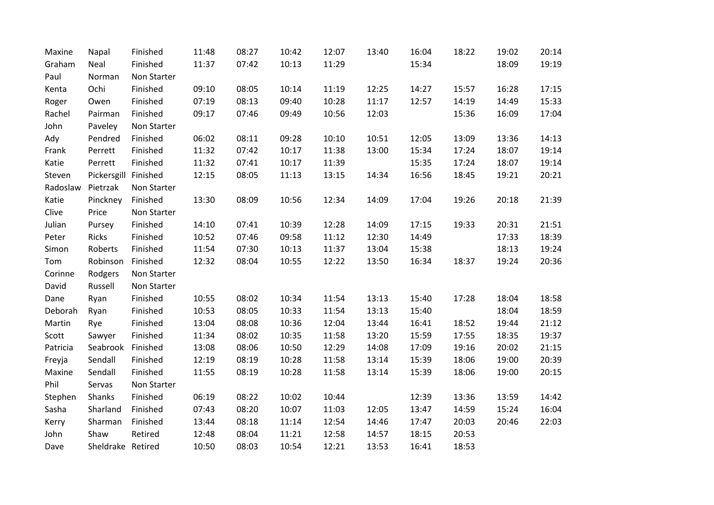| Maxine   | Napal                | Finished    | 11:48 | 08:27 | 10:42 | 12:07 | 13:40 | 16:04 | 18:22 | 19:02 | 20:14 |
|----------|----------------------|-------------|-------|-------|-------|-------|-------|-------|-------|-------|-------|
| Graham   | Neal                 | Finished    | 11:37 | 07:42 | 10:13 | 11:29 |       | 15:34 |       | 18:09 | 19:19 |
| Paul     | Norman               | Non Starter |       |       |       |       |       |       |       |       |       |
| Kenta    | Ochi                 | Finished    | 09:10 | 08:05 | 10:14 | 11:19 | 12:25 | 14:27 | 15:57 | 16:28 | 17:15 |
| Roger    | Owen                 | Finished    | 07:19 | 08:13 | 09:40 | 10:28 | 11:17 | 12:57 | 14:19 | 14:49 | 15:33 |
| Rachel   | Pairman              | Finished    | 09:17 | 07:46 | 09:49 | 10:56 | 12:03 |       | 15:36 | 16:09 | 17:04 |
| John     | Paveley              | Non Starter |       |       |       |       |       |       |       |       |       |
| Ady      | Pendred              | Finished    | 06:02 | 08:11 | 09:28 | 10:10 | 10:51 | 12:05 | 13:09 | 13:36 | 14:13 |
| Frank    | Perrett              | Finished    | 11:32 | 07:42 | 10:17 | 11:38 | 13:00 | 15:34 | 17:24 | 18:07 | 19:14 |
| Katie    | Perrett              | Finished    | 11:32 | 07:41 | 10:17 | 11:39 |       | 15:35 | 17:24 | 18:07 | 19:14 |
| Steven   | Pickersgill Finished |             | 12:15 | 08:05 | 11:13 | 13:15 | 14:34 | 16:56 | 18:45 | 19:21 | 20:21 |
| Radoslaw | Pietrzak             | Non Starter |       |       |       |       |       |       |       |       |       |
| Katie    | Pinckney             | Finished    | 13:30 | 08:09 | 10:56 | 12:34 | 14:09 | 17:04 | 19:26 | 20:18 | 21:39 |
| Clive    | Price                | Non Starter |       |       |       |       |       |       |       |       |       |
| Julian   | Pursey               | Finished    | 14:10 | 07:41 | 10:39 | 12:28 | 14:09 | 17:15 | 19:33 | 20:31 | 21:51 |
| Peter    | Ricks                | Finished    | 10:52 | 07:46 | 09:58 | 11:12 | 12:30 | 14:49 |       | 17:33 | 18:39 |
| Simon    | Roberts              | Finished    | 11:54 | 07:30 | 10:13 | 11:37 | 13:04 | 15:38 |       | 18:13 | 19:24 |
| Tom      | Robinson             | Finished    | 12:32 | 08:04 | 10:55 | 12:22 | 13:50 | 16:34 | 18:37 | 19:24 | 20:36 |
| Corinne  | Rodgers              | Non Starter |       |       |       |       |       |       |       |       |       |
| David    | Russell              | Non Starter |       |       |       |       |       |       |       |       |       |
| Dane     | Ryan                 | Finished    | 10:55 | 08:02 | 10:34 | 11:54 | 13:13 | 15:40 | 17:28 | 18:04 | 18:58 |
| Deborah  | Ryan                 | Finished    | 10:53 | 08:05 | 10:33 | 11:54 | 13:13 | 15:40 |       | 18:04 | 18:59 |
| Martin   | Rye                  | Finished    | 13:04 | 08:08 | 10:36 | 12:04 | 13:44 | 16:41 | 18:52 | 19:44 | 21:12 |
| Scott    | Sawyer               | Finished    | 11:34 | 08:02 | 10:35 | 11:58 | 13:20 | 15:59 | 17:55 | 18:35 | 19:37 |
| Patricia | Seabrook             | Finished    | 13:08 | 08:06 | 10:50 | 12:29 | 14:08 | 17:09 | 19:16 | 20:02 | 21:15 |
| Freyja   | Sendall              | Finished    | 12:19 | 08:19 | 10:28 | 11:58 | 13:14 | 15:39 | 18:06 | 19:00 | 20:39 |
| Maxine   | Sendall              | Finished    | 11:55 | 08:19 | 10:28 | 11:58 | 13:14 | 15:39 | 18:06 | 19:00 | 20:15 |
| Phil     | Servas               | Non Starter |       |       |       |       |       |       |       |       |       |
| Stephen  | Shanks               | Finished    | 06:19 | 08:22 | 10:02 | 10:44 |       | 12:39 | 13:36 | 13:59 | 14:42 |
| Sasha    | Sharland             | Finished    | 07:43 | 08:20 | 10:07 | 11:03 | 12:05 | 13:47 | 14:59 | 15:24 | 16:04 |
| Kerry    | Sharman              | Finished    | 13:44 | 08:18 | 11:14 | 12:54 | 14:46 | 17:47 | 20:03 | 20:46 | 22:03 |
| John     | Shaw                 | Retired     | 12:48 | 08:04 | 11:21 | 12:58 | 14:57 | 18:15 | 20:53 |       |       |
| Dave     | Sheldrake Retired    |             | 10:50 | 08:03 | 10:54 | 12:21 | 13:53 | 16:41 | 18:53 |       |       |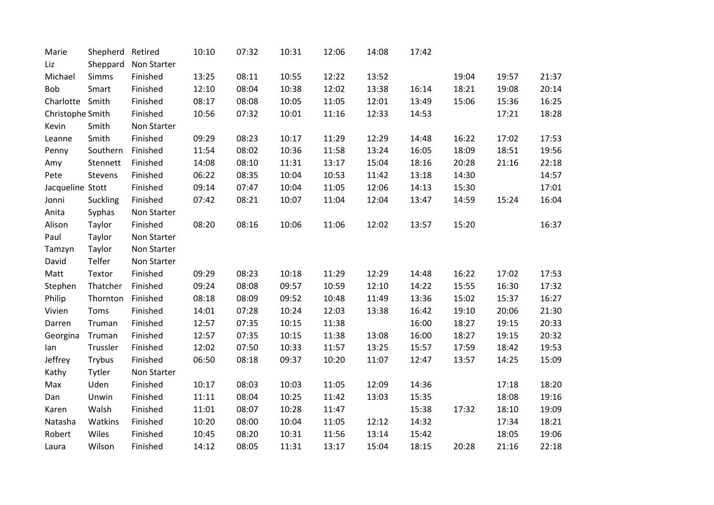| Marie            | Shepherd     | Retired     | 10:10 | 07:32 | 10:31 | 12:06 | 14:08 | 17:42 |       |       |       |
|------------------|--------------|-------------|-------|-------|-------|-------|-------|-------|-------|-------|-------|
| Liz              | Sheppard     | Non Starter |       |       |       |       |       |       |       |       |       |
| Michael          | <b>Simms</b> | Finished    | 13:25 | 08:11 | 10:55 | 12:22 | 13:52 |       | 19:04 | 19:57 | 21:37 |
| Bob              | Smart        | Finished    | 12:10 | 08:04 | 10:38 | 12:02 | 13:38 | 16:14 | 18:21 | 19:08 | 20:14 |
| Charlotte        | Smith        | Finished    | 08:17 | 08:08 | 10:05 | 11:05 | 12:01 | 13:49 | 15:06 | 15:36 | 16:25 |
| Christophe Smith |              | Finished    | 10:56 | 07:32 | 10:01 | 11:16 | 12:33 | 14:53 |       | 17:21 | 18:28 |
| Kevin            | Smith        | Non Starter |       |       |       |       |       |       |       |       |       |
| Leanne           | Smith        | Finished    | 09:29 | 08:23 | 10:17 | 11:29 | 12:29 | 14:48 | 16:22 | 17:02 | 17:53 |
| Penny            | Southern     | Finished    | 11:54 | 08:02 | 10:36 | 11:58 | 13:24 | 16:05 | 18:09 | 18:51 | 19:56 |
| Amy              | Stennett     | Finished    | 14:08 | 08:10 | 11:31 | 13:17 | 15:04 | 18:16 | 20:28 | 21:16 | 22:18 |
| Pete             | Stevens      | Finished    | 06:22 | 08:35 | 10:04 | 10:53 | 11:42 | 13:18 | 14:30 |       | 14:57 |
| Jacqueline Stott |              | Finished    | 09:14 | 07:47 | 10:04 | 11:05 | 12:06 | 14:13 | 15:30 |       | 17:01 |
| Jonni            | Suckling     | Finished    | 07:42 | 08:21 | 10:07 | 11:04 | 12:04 | 13:47 | 14:59 | 15:24 | 16:04 |
| Anita            | Syphas       | Non Starter |       |       |       |       |       |       |       |       |       |
| Alison           | Taylor       | Finished    | 08:20 | 08:16 | 10:06 | 11:06 | 12:02 | 13:57 | 15:20 |       | 16:37 |
| Paul             | Taylor       | Non Starter |       |       |       |       |       |       |       |       |       |
| Tamzyn           | Taylor       | Non Starter |       |       |       |       |       |       |       |       |       |
| David            | Telfer       | Non Starter |       |       |       |       |       |       |       |       |       |
| Matt             | Textor       | Finished    | 09:29 | 08:23 | 10:18 | 11:29 | 12:29 | 14:48 | 16:22 | 17:02 | 17:53 |
| Stephen          | Thatcher     | Finished    | 09:24 | 08:08 | 09:57 | 10:59 | 12:10 | 14:22 | 15:55 | 16:30 | 17:32 |
| Philip           | Thornton     | Finished    | 08:18 | 08:09 | 09:52 | 10:48 | 11:49 | 13:36 | 15:02 | 15:37 | 16:27 |
| Vivien           | Toms         | Finished    | 14:01 | 07:28 | 10:24 | 12:03 | 13:38 | 16:42 | 19:10 | 20:06 | 21:30 |
| Darren           | Truman       | Finished    | 12:57 | 07:35 | 10:15 | 11:38 |       | 16:00 | 18:27 | 19:15 | 20:33 |
| Georgina         | Truman       | Finished    | 12:57 | 07:35 | 10:15 | 11:38 | 13:08 | 16:00 | 18:27 | 19:15 | 20:32 |
| lan              | Trussler     | Finished    | 12:02 | 07:50 | 10:33 | 11:57 | 13:25 | 15:57 | 17:59 | 18:42 | 19:53 |
| Jeffrey          | Trybus       | Finished    | 06:50 | 08:18 | 09:37 | 10:20 | 11:07 | 12:47 | 13:57 | 14:25 | 15:09 |
| Kathy            | Tytler       | Non Starter |       |       |       |       |       |       |       |       |       |
| Max              | Uden         | Finished    | 10:17 | 08:03 | 10:03 | 11:05 | 12:09 | 14:36 |       | 17:18 | 18:20 |
| Dan              | Unwin        | Finished    | 11:11 | 08:04 | 10:25 | 11:42 | 13:03 | 15:35 |       | 18:08 | 19:16 |
| Karen            | Walsh        | Finished    | 11:01 | 08:07 | 10:28 | 11:47 |       | 15:38 | 17:32 | 18:10 | 19:09 |
| Natasha          | Watkins      | Finished    | 10:20 | 08:00 | 10:04 | 11:05 | 12:12 | 14:32 |       | 17:34 | 18:21 |
| Robert           | Wiles        | Finished    | 10:45 | 08:20 | 10:31 | 11:56 | 13:14 | 15:42 |       | 18:05 | 19:06 |
| Laura            | Wilson       | Finished    | 14:12 | 08:05 | 11:31 | 13:17 | 15:04 | 18:15 | 20:28 | 21:16 | 22:18 |